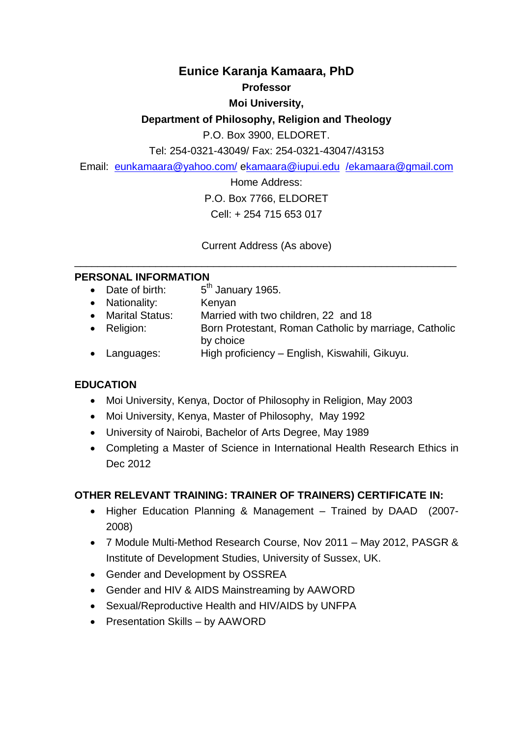# **Eunice Karanja Kamaara, PhD**

#### **Professor**

# **Moi University,**

# **Department of Philosophy, Religion and Theology**

P.O. Box 3900, ELDORET.

Tel: 254-0321-43049/ Fax: 254-0321-43047/43153

Email: [eunkamaara@yahoo.com/](mailto:eunkamaara@yahoo.com/) [ekamaara@iupui.edu](mailto:kamaara@iupui.edu) [/ekamaara@gmail.com](mailto:/ekamaara@gmail.com)

Home Address:

P.O. Box 7766, ELDORET

Cell: + 254 715 653 017

Current Address (As above)  $\_$  , and the set of the set of the set of the set of the set of the set of the set of the set of the set of the set of the set of the set of the set of the set of the set of the set of the set of the set of the set of th

## **PERSONAL INFORMATION**

- Date of birth:  $5<sup>th</sup>$  January 1965.
- 
- Nationality: Kenyan<br>• Marital Status: Married Married with two children, 22 and 18
- Religion: Born Protestant, Roman Catholic by marriage, Catholic by choice
- Languages: High proficiency English, Kiswahili, Gikuyu.

# **EDUCATION**

- Moi University, Kenya, Doctor of Philosophy in Religion, May 2003
- Moi University, Kenya, Master of Philosophy, May 1992
- University of Nairobi, Bachelor of Arts Degree, May 1989
- Completing a Master of Science in International Health Research Ethics in Dec 2012

# **OTHER RELEVANT TRAINING: TRAINER OF TRAINERS) CERTIFICATE IN:**

- Higher Education Planning & Management Trained by DAAD (2007- 2008)
- 7 Module Multi-Method Research Course, Nov 2011 May 2012, PASGR & Institute of Development Studies, University of Sussex, UK.
- Gender and Development by OSSREA
- Gender and HIV & AIDS Mainstreaming by AAWORD
- Sexual/Reproductive Health and HIV/AIDS by UNFPA
- Presentation Skills by AAWORD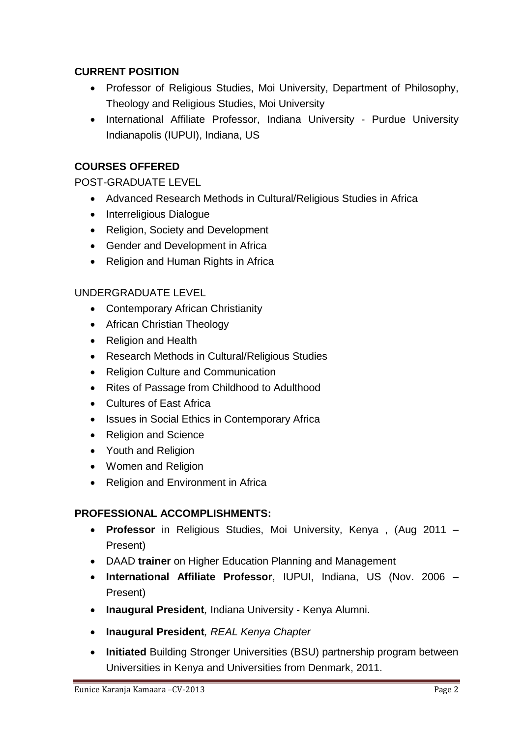# **CURRENT POSITION**

- Professor of Religious Studies, Moi University, Department of Philosophy, Theology and Religious Studies, Moi University
- International Affiliate Professor, Indiana University Purdue University Indianapolis (IUPUI), Indiana, US

# **COURSES OFFERED**

POST-GRADUATE LEVEL

- Advanced Research Methods in Cultural/Religious Studies in Africa
- Interreligious Dialogue
- Religion, Society and Development
- Gender and Development in Africa
- Religion and Human Rights in Africa

# UNDERGRADUATE LEVEL

- Contemporary African Christianity
- African Christian Theology
- Religion and Health
- Research Methods in Cultural/Religious Studies
- Religion Culture and Communication
- Rites of Passage from Childhood to Adulthood
- Cultures of East Africa
- Issues in Social Ethics in Contemporary Africa
- Religion and Science
- Youth and Religion
- Women and Religion
- Religion and Environment in Africa

# **PROFESSIONAL ACCOMPLISHMENTS:**

- **Professor** in Religious Studies, Moi University, Kenya , (Aug 2011 Present)
- DAAD **trainer** on Higher Education Planning and Management
- **International Affiliate Professor**, IUPUI, Indiana, US (Nov. 2006 Present)
- **Inaugural President***,* Indiana University Kenya Alumni.
- **Inaugural President***, REAL Kenya Chapter*
- **Initiated** Building Stronger Universities (BSU) partnership program between Universities in Kenya and Universities from Denmark, 2011.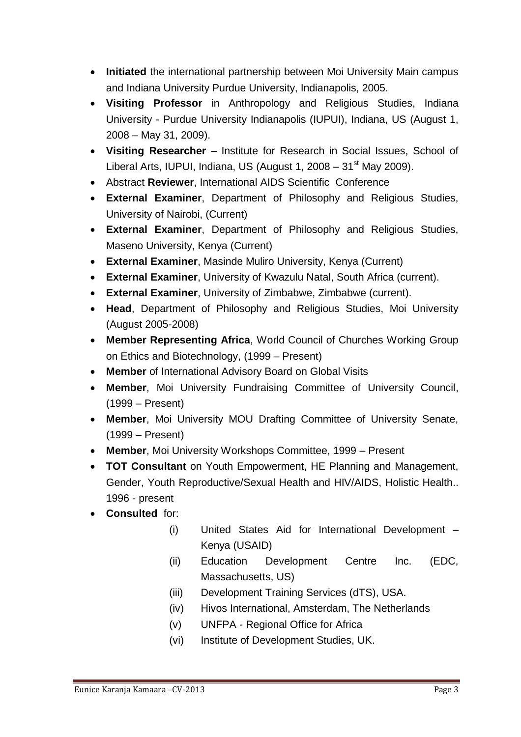- **Initiated** the international partnership between Moi University Main campus and Indiana University Purdue University, Indianapolis, 2005.
- **Visiting Professor** in Anthropology and Religious Studies, Indiana University - Purdue University Indianapolis (IUPUI), Indiana, US (August 1, 2008 – May 31, 2009).
- **Visiting Researcher** Institute for Research in Social Issues, School of Liberal Arts, IUPUI, Indiana, US (August 1, 2008 – 31<sup>st</sup> May 2009).
- Abstract **Reviewer**, International AIDS Scientific Conference
- **External Examiner**, Department of Philosophy and Religious Studies, University of Nairobi, (Current)
- **External Examiner**, Department of Philosophy and Religious Studies, Maseno University, Kenya (Current)
- **External Examiner**, Masinde Muliro University, Kenya (Current)
- **External Examiner**, University of Kwazulu Natal, South Africa (current).
- **External Examiner**, University of Zimbabwe, Zimbabwe (current).
- **Head**, Department of Philosophy and Religious Studies, Moi University (August 2005-2008)
- **Member Representing Africa**, World Council of Churches Working Group on Ethics and Biotechnology, (1999 – Present)
- **Member** of International Advisory Board on Global Visits
- **Member**, Moi University Fundraising Committee of University Council, (1999 – Present)
- **Member**, Moi University MOU Drafting Committee of University Senate, (1999 – Present)
- **Member**, Moi University Workshops Committee, 1999 Present
- **TOT Consultant** on Youth Empowerment, HE Planning and Management, Gender, Youth Reproductive/Sexual Health and HIV/AIDS, Holistic Health.. 1996 - present
- **Consulted** for:
	- (i) United States Aid for International Development Kenya (USAID)
	- (ii) Education Development Centre Inc. (EDC, Massachusetts, US)
	- (iii) Development Training Services (dTS), USA.
	- (iv) Hivos International, Amsterdam, The Netherlands
	- (v) UNFPA Regional Office for Africa
	- (vi) Institute of Development Studies, UK.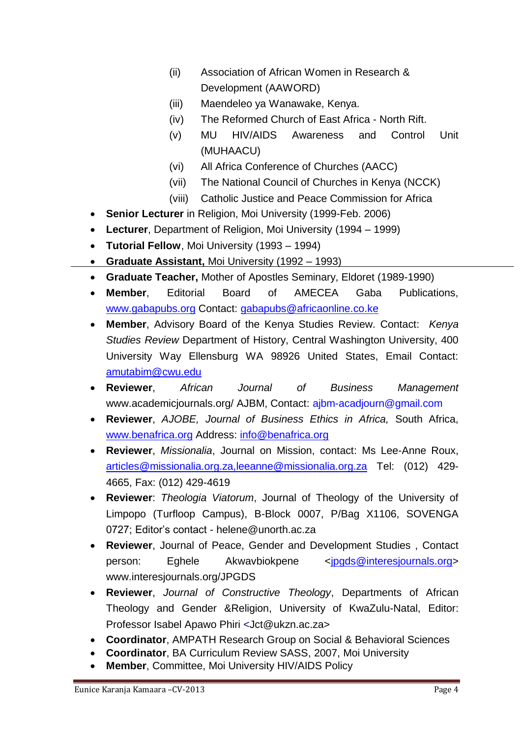- (ii) Association of African Women in Research & Development (AAWORD)
- (iii) Maendeleo ya Wanawake, Kenya.
- (iv) The Reformed Church of East Africa North Rift.
- (v) MU HIV/AIDS Awareness and Control Unit (MUHAACU)
- (vi) All Africa Conference of Churches (AACC)
- (vii) The National Council of Churches in Kenya (NCCK)
- (viii) Catholic Justice and Peace Commission for Africa
- **Senior Lecturer** in Religion, Moi University (1999-Feb. 2006)
- **Lecturer**, Department of Religion, Moi University (1994 1999)
- **Tutorial Fellow**, Moi University (1993 1994)
- **Graduate Assistant,** Moi University (1992 1993)
- **Graduate Teacher,** Mother of Apostles Seminary, Eldoret (1989-1990)
- **Member**, Editorial Board of AMECEA Gaba Publications, [www.gabapubs.org](http://www.gabapubs.org/) Contact: [gabapubs@africaonline.co.ke](mailto:gabapubs@africaonline.co.ke)
- **Member**, Advisory Board of the Kenya Studies Review. Contact: *Kenya Studies Review* Department of History, Central Washington University, 400 University Way Ellensburg WA 98926 United States, Email Contact: [amutabim@cwu.edu](mailto:amutabim@cwu.edu)
- **Reviewer**, *African Journal of Business Management* www.academicjournals.org/ AJBM, Contact: ajbm-acadjourn@gmail.com
- **Reviewer**, *AJOBE, Journal of Business Ethics in Africa,* South Africa, [www.benafrica.org](http://www.benafrica.org/) Address: [info@benafrica.org](mailto:info@benafrica.org)
- **Reviewer**, *Missionalia*, Journal on Mission, contact: Ms Lee-Anne Roux, [articles@missionalia.org.za,leeanne@missionalia.org.za](mailto:articles@missionalia.org.za,leeanne@missionalia.org.za) Tel: (012) 429- 4665, Fax: (012) 429-4619
- **Reviewer**: *Theologia Viatorum*, Journal of Theology of the University of Limpopo (Turfloop Campus), B-Block 0007, P/Bag X1106, SOVENGA 0727; Editor"s contact - [helene@unorth.ac.za](mailto:helene@unorth.ac.za)
- **Reviewer**, Journal of Peace, Gender and Development Studies , Contact person: Eghele Akwavbiokpene [<jpgds@interesjournals.org>](mailto:jpgds@interesjournals.org) www.interesjournals.org/JPGDS
- **Reviewer**, *Journal of Constructive Theology*, Departments of African Theology and Gender &Religion, University of KwaZulu-Natal, Editor: Professor Isabel Apawo Phiri <Jct@ukzn.ac.za>
- **Coordinator**, AMPATH Research Group on Social & Behavioral Sciences
- **Coordinator**, BA Curriculum Review SASS, 2007, Moi University
- **Member**, Committee, Moi University HIV/AIDS Policy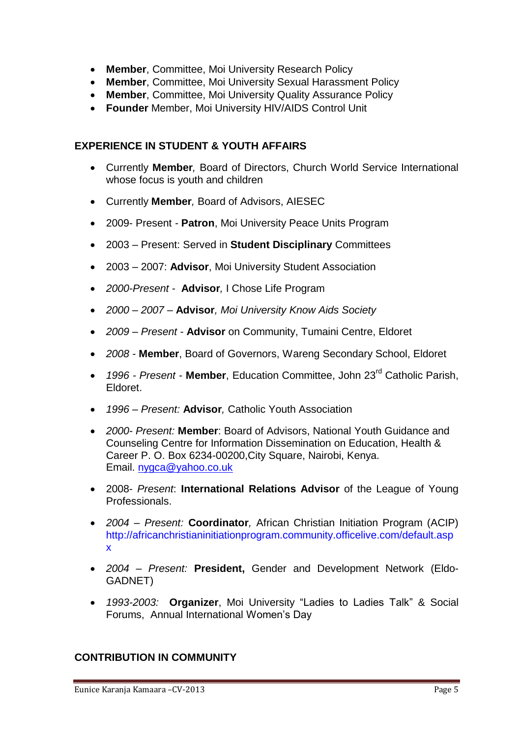- **Member**, Committee, Moi University Research Policy
- **Member**, Committee, Moi University Sexual Harassment Policy
- **Member**, Committee, Moi University Quality Assurance Policy
- **Founder** Member, Moi University HIV/AIDS Control Unit

### **EXPERIENCE IN STUDENT & YOUTH AFFAIRS**

- Currently **Member***,* Board of Directors, Church World Service International whose focus is youth and children
- Currently **Member***,* Board of Advisors, AIESEC
- 2009- Present *-* **Patron**, Moi University Peace Units Program
- 2003 Present: Served in **Student Disciplinary** Committees
- 2003 2007: **Advisor**, Moi University Student Association
- *2000-Present* **Advisor***,* I Chose Life Program
- *2000 – 2007 –* **Advisor***, Moi University Know Aids Society*
- *2009 – Present -* **Advisor** on Community, Tumaini Centre, Eldoret
- *2008 -* **Member**, Board of Governors, Wareng Secondary School, Eldoret
- *1996 - Present -* **Member**, Education Committee, John 23rd Catholic Parish, Eldoret.
- *1996 – Present:* **Advisor***,* Catholic Youth Association
- *2000- Present:* **Member**: Board of Advisors, National Youth Guidance and Counseling Centre for Information Dissemination on Education, Health & Career P. O. Box 6234-00200,City Square, Nairobi, Kenya. Email. [nygca@yahoo.co.uk](mailto:nygca@yahoo.co.uk)
- 2008- *Present*: **International Relations Advisor** of the League of Young Professionals.
- *2004 – Present:* **Coordinator***,* African Christian Initiation Program (ACIP) http://africanchristianinitiationprogram.community.officelive.com/default.asp x
- *2004 – Present:* **President,** Gender and Development Network (Eldo-GADNET)
- *1993-2003:* **Organizer**, Moi University "Ladies to Ladies Talk" & Social Forums, Annual International Women"s Day

# **CONTRIBUTION IN COMMUNITY**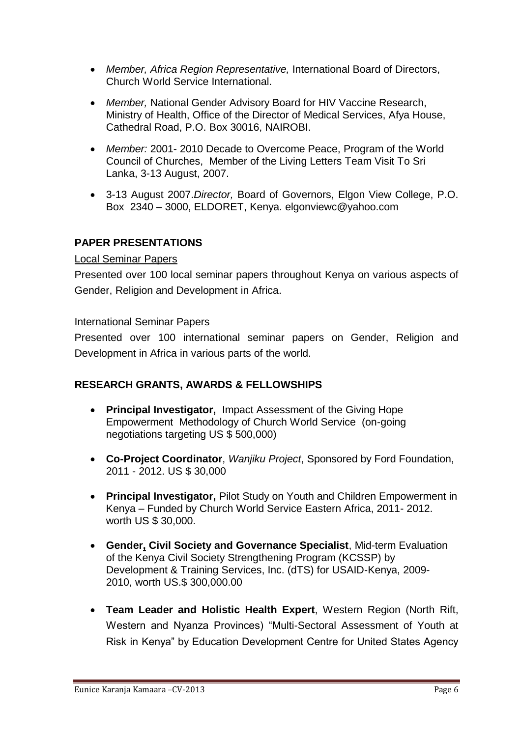- *Member, Africa Region Representative,* International Board of Directors, Church World Service International.
- *Member,* National Gender Advisory Board for HIV Vaccine Research, Ministry of Health, Office of the Director of Medical Services, Afya House, Cathedral Road, P.O. Box 30016, NAIROBI.
- *Member:* 2001- 2010 Decade to Overcome Peace, Program of the World Council of Churches, Member of the Living Letters Team Visit To Sri Lanka, 3-13 August, 2007.
- 3-13 August 2007.*Director,* Board of Governors, Elgon View College, P.O. Box 2340 – 3000, ELDORET, Kenya. elgonviewc@yahoo.com

# **PAPER PRESENTATIONS**

## Local Seminar Papers

Presented over 100 local seminar papers throughout Kenya on various aspects of Gender, Religion and Development in Africa.

## International Seminar Papers

Presented over 100 international seminar papers on Gender, Religion and Development in Africa in various parts of the world.

# **RESEARCH GRANTS, AWARDS & FELLOWSHIPS**

- **Principal Investigator,** Impact Assessment of the Giving Hope Empowerment Methodology of Church World Service (on-going negotiations targeting US \$ 500,000)
- **Co-Project Coordinator**, *Wanjiku Project*, Sponsored by Ford Foundation, 2011 - 2012. US \$ 30,000
- **Principal Investigator,** Pilot Study on Youth and Children Empowerment in Kenya – Funded by Church World Service Eastern Africa, 2011- 2012. worth US \$ 30,000.
- **Gender, Civil Society and Governance Specialist**, Mid-term Evaluation of the Kenya Civil Society Strengthening Program (KCSSP) by Development & Training Services, Inc. (dTS) for USAID-Kenya, 2009- 2010, worth US.\$ 300,000.00
- **Team Leader and Holistic Health Expert**, Western Region (North Rift, Western and Nyanza Provinces) "Multi-Sectoral Assessment of Youth at Risk in Kenya" by Education Development Centre for United States Agency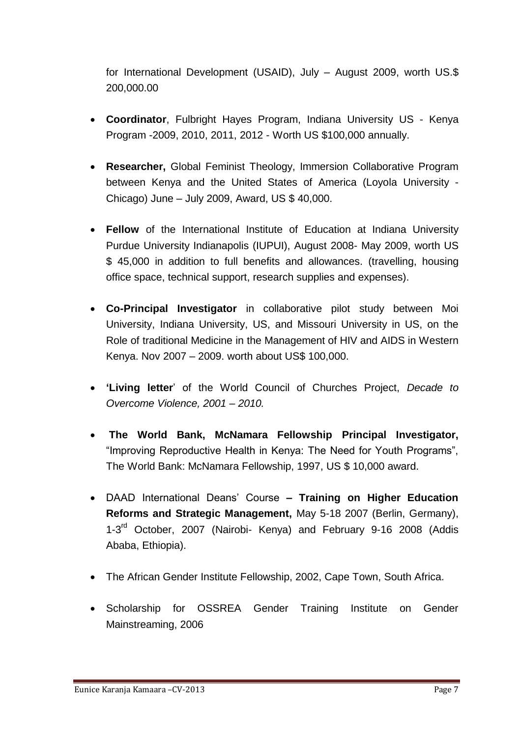for International Development (USAID), July – August 2009, worth US.\$ 200,000.00

- **Coordinator**, Fulbright Hayes Program, Indiana University US Kenya Program -2009, 2010, 2011, 2012 - Worth US \$100,000 annually.
- **Researcher,** Global Feminist Theology, Immersion Collaborative Program between Kenya and the United States of America (Loyola University - Chicago) June – July 2009, Award, US \$ 40,000.
- **Fellow** of the International Institute of Education at Indiana University Purdue University Indianapolis (IUPUI), August 2008- May 2009, worth US \$ 45,000 in addition to full benefits and allowances. (travelling, housing office space, technical support, research supplies and expenses).
- **Co-Principal Investigator** in collaborative pilot study between Moi University, Indiana University, US, and Missouri University in US, on the Role of traditional Medicine in the Management of HIV and AIDS in Western Kenya. Nov 2007 – 2009. worth about US\$ 100,000.
- **'Living letter**" of the World Council of Churches Project, *Decade to Overcome Violence, 2001 – 2010.*
- **The World Bank, McNamara Fellowship Principal Investigator,** "Improving Reproductive Health in Kenya: The Need for Youth Programs", The World Bank: McNamara Fellowship, 1997, US \$ 10,000 award.
- DAAD International Deans" Course **– Training on Higher Education Reforms and Strategic Management,** May 5-18 2007 (Berlin, Germany), 1-3<sup>rd</sup> October, 2007 (Nairobi- Kenya) and February 9-16 2008 (Addis Ababa, Ethiopia).
- The African Gender Institute Fellowship, 2002, Cape Town, South Africa.
- Scholarship for OSSREA Gender Training Institute on Gender Mainstreaming, 2006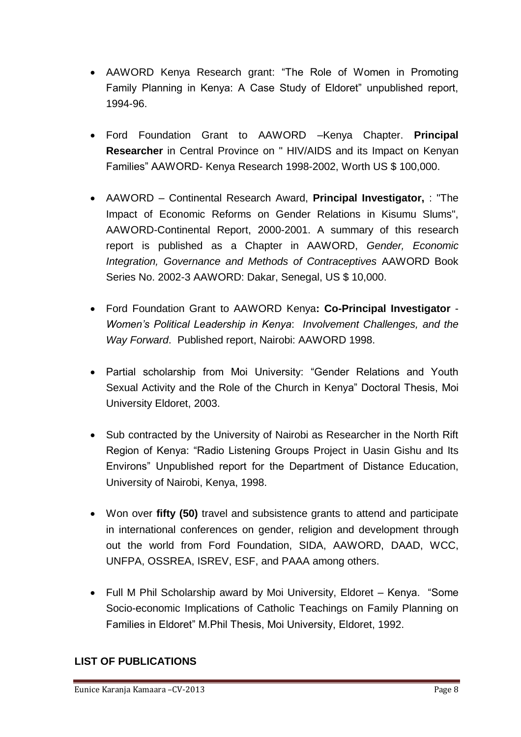- AAWORD Kenya Research grant: "The Role of Women in Promoting Family Planning in Kenya: A Case Study of Eldoret" unpublished report, 1994-96.
- Ford Foundation Grant to AAWORD –Kenya Chapter. **Principal Researcher** in Central Province on " HIV/AIDS and its Impact on Kenyan Families" AAWORD- Kenya Research 1998-2002, Worth US \$ 100,000.
- AAWORD Continental Research Award, **Principal Investigator,** : "The Impact of Economic Reforms on Gender Relations in Kisumu Slums", AAWORD-Continental Report, 2000-2001. A summary of this research report is published as a Chapter in AAWORD, *Gender, Economic Integration, Governance and Methods of Contraceptives* AAWORD Book Series No. 2002-3 AAWORD: Dakar, Senegal, US \$ 10,000.
- Ford Foundation Grant to AAWORD Kenya**: Co-Principal Investigator** *Women's Political Leadership in Kenya*: *Involvement Challenges, and the Way Forward*. Published report, Nairobi: AAWORD 1998.
- Partial scholarship from Moi University: "Gender Relations and Youth Sexual Activity and the Role of the Church in Kenya" Doctoral Thesis, Moi University Eldoret, 2003.
- Sub contracted by the University of Nairobi as Researcher in the North Rift Region of Kenya: "Radio Listening Groups Project in Uasin Gishu and Its Environs" Unpublished report for the Department of Distance Education, University of Nairobi, Kenya, 1998.
- Won over **fifty (50)** travel and subsistence grants to attend and participate in international conferences on gender, religion and development through out the world from Ford Foundation, SIDA, AAWORD, DAAD, WCC, UNFPA, OSSREA, ISREV, ESF, and PAAA among others.
- Full M Phil Scholarship award by Moi University, Eldoret Kenya. "Some Socio-economic Implications of Catholic Teachings on Family Planning on Families in Eldoret" M.Phil Thesis, Moi University, Eldoret, 1992.

# **LIST OF PUBLICATIONS**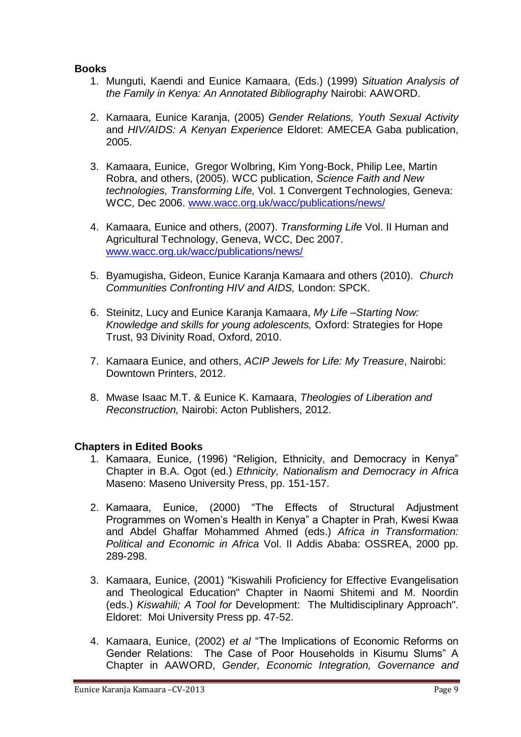## **Books**

- 1. Munguti, Kaendi and Eunice Kamaara, (Eds.) (1999) *Situation Analysis of the Family in Kenya: An Annotated Bibliography* Nairobi: AAWORD.
- 2. Kamaara, Eunice Karanja, (2005) *Gender Relations, Youth Sexual Activity*  and *HIV/AIDS: A Kenyan Experience* Eldoret: AMECEA Gaba publication, 2005.
- 3. Kamaara, Eunice, Gregor Wolbring, Kim Yong-Bock, Philip Lee, Martin Robra, and others, (2005). WCC publication, *Science Faith and New technologies, Transforming Life,* Vol. 1 Convergent Technologies, Geneva: WCC, Dec 2006. [www.wacc.org.uk/wacc/publications/news/](http://www.wacc.org.uk/wacc/publications/news/)
- 4. Kamaara, Eunice and others, (2007). *Transforming Life* Vol. II Human and Agricultural Technology, Geneva, WCC, Dec 2007. [www.wacc.org.uk/wacc/publications/news/](http://www.wacc.org.uk/wacc/publications/news/)
- 5. Byamugisha, Gideon, Eunice Karanja Kamaara and others (2010). *Church Communities Confronting HIV and AIDS,* London: SPCK.
- 6. Steinitz, Lucy and Eunice Karanja Kamaara, *My Life –Starting Now: Knowledge and skills for young adolescents,* Oxford: Strategies for Hope Trust, 93 Divinity Road, Oxford, 2010.
- 7. Kamaara Eunice, and others, *ACIP Jewels for Life: My Treasure*, Nairobi: Downtown Printers, 2012.
- 8. Mwase Isaac M.T. & Eunice K. Kamaara, *Theologies of Liberation and Reconstruction,* Nairobi: Acton Publishers, 2012.

#### **Chapters in Edited Books**

- 1. Kamaara, Eunice, (1996) "Religion, Ethnicity, and Democracy in Kenya" Chapter in B.A. Ogot (ed.) *Ethnicity, Nationalism and Democracy in Africa* Maseno: Maseno University Press, pp. 151-157.
- 2. Kamaara, Eunice, (2000) "The Effects of Structural Adjustment Programmes on Women"s Health in Kenya" a Chapter in Prah, Kwesi Kwaa and Abdel Ghaffar Mohammed Ahmed (eds.) *Africa in Transformation: Political and Economic in Africa* Vol. II Addis Ababa: OSSREA, 2000 pp. 289-298.
- 3. Kamaara, Eunice, (2001) "Kiswahili Proficiency for Effective Evangelisation and Theological Education" Chapter in Naomi Shitemi and M. Noordin (eds.) *Kiswahili; A Tool for* Development: The Multidisciplinary Approach". Eldoret: Moi University Press pp. 47-52.
- 4. Kamaara, Eunice, (2002) *et al* "The Implications of Economic Reforms on Gender Relations: The Case of Poor Households in Kisumu Slums" A Chapter in AAWORD, *Gender, Economic Integration, Governance and*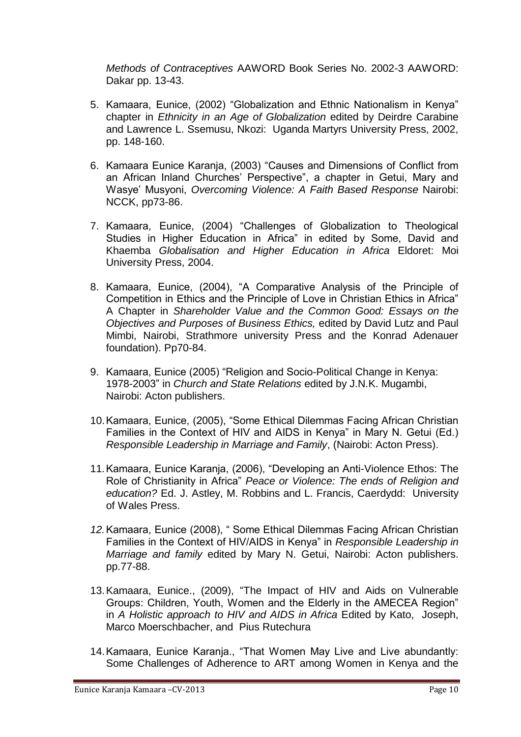*Methods of Contraceptives* AAWORD Book Series No. 2002-3 AAWORD: Dakar pp. 13-43.

- 5. Kamaara, Eunice, (2002) "Globalization and Ethnic Nationalism in Kenya" chapter in *Ethnicity in an Age of Globalization* edited by Deirdre Carabine and Lawrence L. Ssemusu, Nkozi: Uganda Martyrs University Press, 2002, pp. 148-160.
- 6. Kamaara Eunice Karanja, (2003) "Causes and Dimensions of Conflict from an African Inland Churches' Perspective", a chapter in Getui, Mary and Wasye" Musyoni, *Overcoming Violence: A Faith Based Response* Nairobi: NCCK, pp73-86.
- 7. Kamaara, Eunice, (2004) "Challenges of Globalization to Theological Studies in Higher Education in Africa" in edited by Some, David and Khaemba *Globalisation and Higher Education in Africa* Eldoret: Moi University Press, 2004.
- 8. Kamaara, Eunice, (2004), "A Comparative Analysis of the Principle of Competition in Ethics and the Principle of Love in Christian Ethics in Africa" A Chapter in *Shareholder Value and the Common Good: Essays on the Objectives and Purposes of Business Ethics,* edited by David Lutz and Paul Mimbi, Nairobi, Strathmore university Press and the Konrad Adenauer foundation). Pp70-84.
- 9. Kamaara, Eunice (2005) "Religion and Socio-Political Change in Kenya: 1978-2003" in *Church and State Relations* edited by J.N.K. Mugambi, Nairobi: Acton publishers.
- 10.Kamaara, Eunice, (2005), "Some Ethical Dilemmas Facing African Christian Families in the Context of HIV and AIDS in Kenya" in Mary N. Getui (Ed.) *Responsible Leadership in Marriage and Family*, (Nairobi: Acton Press).
- 11.Kamaara, Eunice Karanja, (2006), "Developing an Anti-Violence Ethos: The Role of Christianity in Africa" *Peace or Violence: The ends of Religion and education?* Ed. J. Astley, M. Robbins and L. Francis, Caerdydd: University of Wales Press.
- *12.*Kamaara, Eunice (2008), " Some Ethical Dilemmas Facing African Christian Families in the Context of HIV/AIDS in Kenya" in *Responsible Leadership in Marriage and family* edited by Mary N. Getui, Nairobi: Acton publishers. pp.77-88.
- 13.Kamaara, Eunice., (2009), "The Impact of HIV and Aids on Vulnerable Groups: Children, Youth, Women and the Elderly in the AMECEA Region" in *A Holistic approach to HIV and AIDS in Africa* Edited by Kato, Joseph, Marco Moerschbacher, and Pius Rutechura
- 14.Kamaara, Eunice Karanja., "That Women May Live and Live abundantly: Some Challenges of Adherence to ART among Women in Kenya and the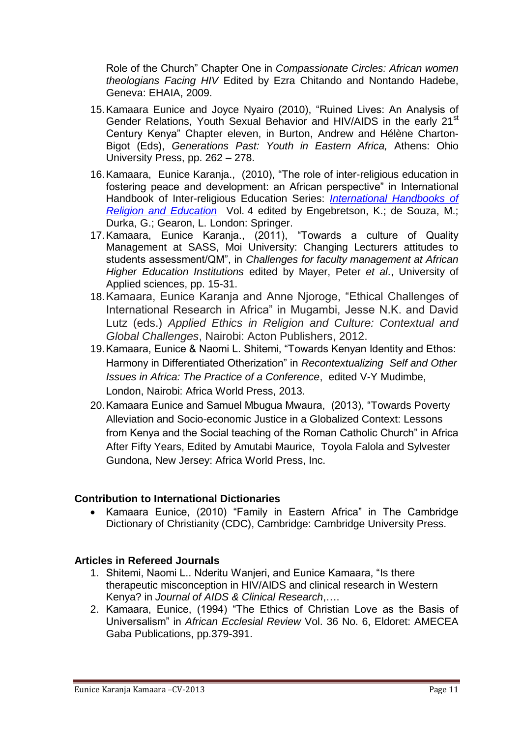Role of the Church" Chapter One in *Compassionate Circles: African women theologians Facing HIV* Edited by Ezra Chitando and Nontando Hadebe, Geneva: EHAIA, 2009.

- 15.Kamaara Eunice and Joyce Nyairo (2010), "Ruined Lives: An Analysis of Gender Relations, Youth Sexual Behavior and HIV/AIDS in the early 21<sup>st</sup> Century Kenya" Chapter eleven, in Burton, Andrew and Hélène Charton-Bigot (Eds), *Generations Past: Youth in Eastern Africa,* Athens: Ohio University Press, pp. 262 – 278.
- 16.Kamaara, Eunice Karanja., (2010), "The role of inter-religious education in fostering peace and development: an African perspective" in International Handbook of Inter-religious Education Series: *[International Handbooks of](http://www.springer.com/series/7477)  [Religion and Education](http://www.springer.com/series/7477)* Vol. 4 edited by Engebretson, K.; de Souza, M.; Durka, G.; Gearon, L. London: Springer.
- 17.Kamaara, Eunice Karanja., (2011), "Towards a culture of Quality Management at SASS, Moi University: Changing Lecturers attitudes to students assessment/QM", in *Challenges for faculty management at African Higher Education Institutions* edited by Mayer, Peter *et al*., University of Applied sciences, pp. 15-31.
- 18.Kamaara, Eunice Karanja and Anne Njoroge, "Ethical Challenges of International Research in Africa" in Mugambi, Jesse N.K. and David Lutz (eds.) *Applied Ethics in Religion and Culture: Contextual and Global Challenges*, Nairobi: Acton Publishers, 2012.
- 19.Kamaara, Eunice & Naomi L. Shitemi, "Towards Kenyan Identity and Ethos: Harmony in Differentiated Otherization" in *Recontextualizing Self and Other Issues in Africa: The Practice of a Conference*, edited V-Y Mudimbe, London, Nairobi: Africa World Press, 2013.
- 20.Kamaara Eunice and Samuel Mbugua Mwaura, (2013), "Towards Poverty Alleviation and Socio-economic Justice in a Globalized Context: Lessons from Kenya and the Social teaching of the Roman Catholic Church" in Africa After Fifty Years, Edited by Amutabi Maurice, Toyola Falola and Sylvester Gundona, New Jersey: Africa World Press, Inc.

#### **Contribution to International Dictionaries**

 Kamaara Eunice, (2010) "Family in Eastern Africa" in The Cambridge Dictionary of Christianity (CDC), Cambridge: Cambridge University Press.

# **Articles in Refereed Journals**

- 1. Shitemi, Naomi L.. Nderitu Wanjeri, and Eunice Kamaara, "Is there therapeutic misconception in HIV/AIDS and clinical research in Western Kenya? in *Journal of AIDS & Clinical Research*,….
- 2. Kamaara, Eunice, (1994) "The Ethics of Christian Love as the Basis of Universalism" in *African Ecclesial Review* Vol. 36 No. 6, Eldoret: AMECEA Gaba Publications, pp.379-391.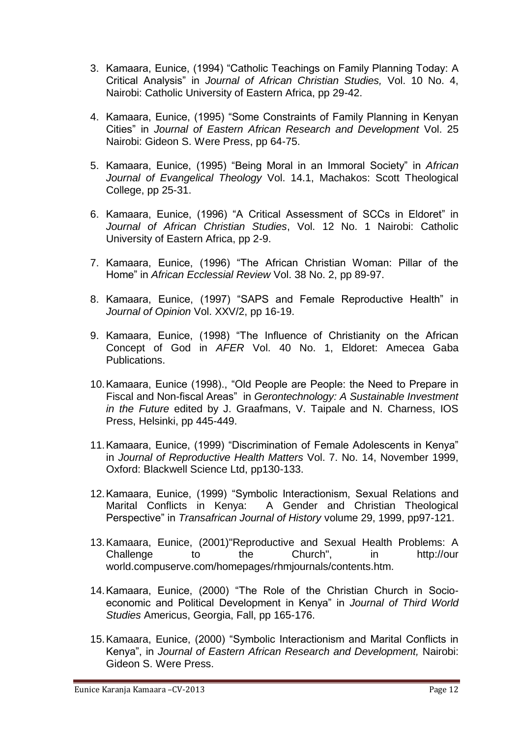- 3. Kamaara, Eunice, (1994) "Catholic Teachings on Family Planning Today: A Critical Analysis" in *Journal of African Christian Studies,* Vol. 10 No. 4, Nairobi: Catholic University of Eastern Africa, pp 29-42.
- 4. Kamaara, Eunice, (1995) "Some Constraints of Family Planning in Kenyan Cities" in *Journal of Eastern African Research and Development* Vol. 25 Nairobi: Gideon S. Were Press, pp 64-75.
- 5. Kamaara, Eunice, (1995) "Being Moral in an Immoral Society" in *African Journal of Evangelical Theology* Vol. 14.1, Machakos: Scott Theological College, pp 25-31.
- 6. Kamaara, Eunice, (1996) "A Critical Assessment of SCCs in Eldoret" in *Journal of African Christian Studies*, Vol. 12 No. 1 Nairobi: Catholic University of Eastern Africa, pp 2-9.
- 7. Kamaara, Eunice, (1996) "The African Christian Woman: Pillar of the Home" in *African Ecclessial Review* Vol. 38 No. 2, pp 89-97.
- 8. Kamaara, Eunice, (1997) "SAPS and Female Reproductive Health" in *Journal of Opinion* Vol. XXV/2, pp 16-19.
- 9. Kamaara, Eunice, (1998) "The Influence of Christianity on the African Concept of God in *AFER* Vol. 40 No. 1, Eldoret: Amecea Gaba Publications.
- 10.Kamaara, Eunice (1998)., "Old People are People: the Need to Prepare in Fiscal and Non-fiscal Areas" in *Gerontechnology: A Sustainable Investment in the Future* edited by J. Graafmans, V. Taipale and N. Charness, IOS Press, Helsinki, pp 445-449.
- 11.Kamaara, Eunice, (1999) "Discrimination of Female Adolescents in Kenya" in *Journal of Reproductive Health Matters* Vol. 7. No. 14, November 1999, Oxford: Blackwell Science Ltd, pp130-133.
- 12.Kamaara, Eunice, (1999) "Symbolic Interactionism, Sexual Relations and Marital Conflicts in Kenya: A Gender and Christian Theological Perspective" in *Transafrican Journal of History* volume 29, 1999, pp97-121.
- 13.Kamaara, Eunice, (2001)"Reproductive and Sexual Health Problems: A Challenge to the Church", in http://our world.compuserve.com/homepages/rhmjournals/contents.htm.
- 14.Kamaara, Eunice, (2000) "The Role of the Christian Church in Socioeconomic and Political Development in Kenya" in *Journal of Third World Studies* Americus, Georgia, Fall, pp 165-176.
- 15.Kamaara, Eunice, (2000) "Symbolic Interactionism and Marital Conflicts in Kenya", in *Journal of Eastern African Research and Development,* Nairobi: Gideon S. Were Press.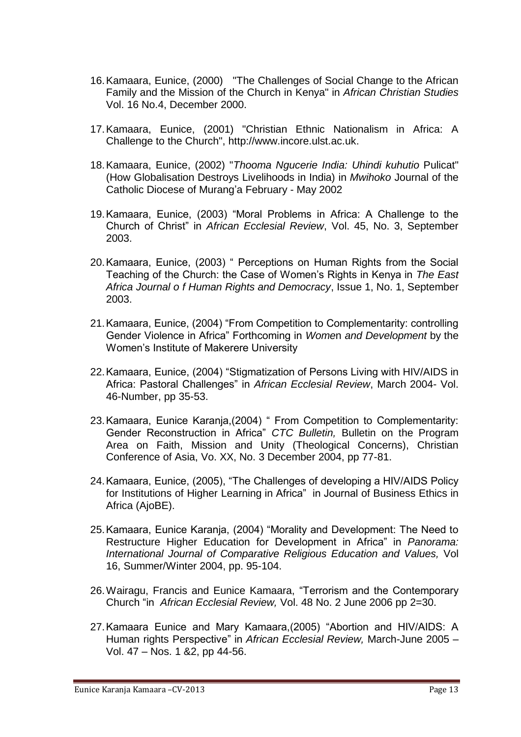- 16.Kamaara, Eunice, (2000) "The Challenges of Social Change to the African Family and the Mission of the Church in Kenya" in *African Christian Studies* Vol. 16 No.4, December 2000.
- 17.Kamaara, Eunice, (2001) "Christian Ethnic Nationalism in Africa: A Challenge to the Church", http://www.incore.ulst.ac.uk.
- 18.Kamaara, Eunice, (2002) "*Thooma Ngucerie India: Uhindi kuhutio* Pulicat" (How Globalisation Destroys Livelihoods in India) in *Mwihoko* Journal of the Catholic Diocese of Murang"a February - May 2002
- 19.Kamaara, Eunice, (2003) "Moral Problems in Africa: A Challenge to the Church of Christ" in *African Ecclesial Review*, Vol. 45, No. 3, September 2003.
- 20.Kamaara, Eunice, (2003) " Perceptions on Human Rights from the Social Teaching of the Church: the Case of Women"s Rights in Kenya in *The East Africa Journal o f Human Rights and Democracy*, Issue 1, No. 1, September 2003.
- 21.Kamaara, Eunice, (2004) "From Competition to Complementarity: controlling Gender Violence in Africa" Forthcoming in *Wome*n *and Development* by the Women"s Institute of Makerere University
- 22.Kamaara, Eunice, (2004) "Stigmatization of Persons Living with HIV/AIDS in Africa: Pastoral Challenges" in *African Ecclesial Review*, March 2004- Vol. 46-Number, pp 35-53.
- 23.Kamaara, Eunice Karanja,(2004) " From Competition to Complementarity: Gender Reconstruction in Africa" *CTC Bulletin,* Bulletin on the Program Area on Faith, Mission and Unity (Theological Concerns), Christian Conference of Asia, Vo. XX, No. 3 December 2004, pp 77-81.
- 24.Kamaara, Eunice, (2005), "The Challenges of developing a HIV/AIDS Policy for Institutions of Higher Learning in Africa" in Journal of Business Ethics in Africa (AjoBE).
- 25.Kamaara, Eunice Karanja, (2004) "Morality and Development: The Need to Restructure Higher Education for Development in Africa" in *Panorama: International Journal of Comparative Religious Education and Values,* Vol 16, Summer/Winter 2004, pp. 95-104.
- 26.Wairagu, Francis and Eunice Kamaara, "Terrorism and the Contemporary Church "in *African Ecclesial Review,* Vol. 48 No. 2 June 2006 pp 2=30.
- 27.Kamaara Eunice and Mary Kamaara,(2005) "Abortion and HIV/AIDS: A Human rights Perspective" in *African Ecclesial Review,* March-June 2005 – Vol. 47 – Nos. 1 &2, pp 44-56.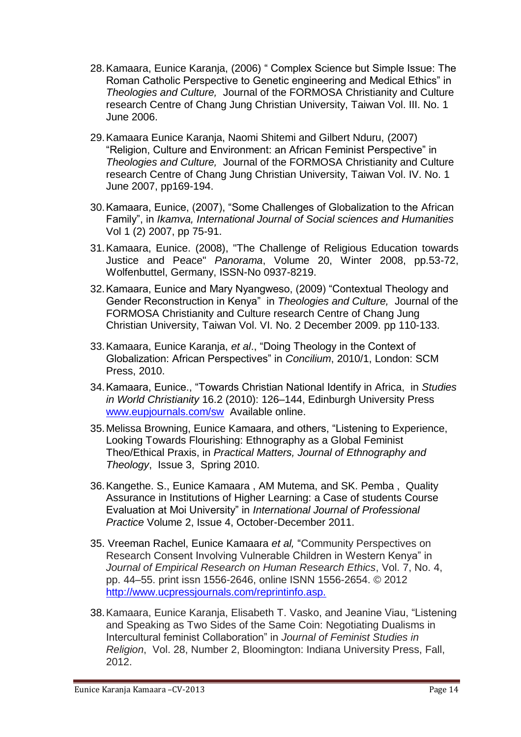- 28.Kamaara, Eunice Karanja, (2006) " Complex Science but Simple Issue: The Roman Catholic Perspective to Genetic engineering and Medical Ethics" in *Theologies and Culture,* Journal of the FORMOSA Christianity and Culture research Centre of Chang Jung Christian University, Taiwan Vol. III. No. 1 June 2006.
- 29.Kamaara Eunice Karanja, Naomi Shitemi and Gilbert Nduru, (2007) "Religion, Culture and Environment: an African Feminist Perspective" in *Theologies and Culture,* Journal of the FORMOSA Christianity and Culture research Centre of Chang Jung Christian University, Taiwan Vol. IV. No. 1 June 2007, pp169-194.
- 30.Kamaara, Eunice, (2007), "Some Challenges of Globalization to the African Family", in *Ikamva, International Journal of Social sciences and Humanities* Vol 1 (2) 2007, pp 75-91.
- 31.Kamaara, Eunice. (2008), "The Challenge of Religious Education towards Justice and Peace" *Panorama*, Volume 20, Winter 2008, pp.53-72, Wolfenbuttel, Germany, ISSN-No 0937-8219.
- 32.Kamaara, Eunice and Mary Nyangweso, (2009) "Contextual Theology and Gender Reconstruction in Kenya" in *Theologies and Culture,* Journal of the FORMOSA Christianity and Culture research Centre of Chang Jung Christian University, Taiwan Vol. VI. No. 2 December 2009. pp 110-133.
- 33.Kamaara, Eunice Karanja, *et al*., "Doing Theology in the Context of Globalization: African Perspectives" in *Concilium*, 2010/1, London: SCM Press, 2010.
- 34.Kamaara, Eunice., "Towards Christian National Identify in Africa, in *Studies in World Christianity* 16.2 (2010): 126–144, Edinburgh University Press [www.eupjournals.com/sw](http://www.eupjournals.com/sw) Available online.
- 35.Melissa Browning, Eunice Kamaara, and others, "Listening to Experience, Looking Towards Flourishing: Ethnography as a Global Feminist Theo/Ethical Praxis, in *Practical Matters, Journal of Ethnography and Theology*, Issue 3, Spring 2010.
- 36.Kangethe. S., Eunice Kamaara , AM Mutema, and SK. Pemba , Quality Assurance in Institutions of Higher Learning: a Case of students Course Evaluation at Moi University" in *International Journal of Professional Practice* Volume 2, Issue 4, October-December 2011.
- 35. Vreeman Rachel, Eunice Kamaara *et al,* "Community Perspectives on Research Consent Involving Vulnerable Children in Western Kenya" in *Journal of Empirical Research on Human Research Ethics*, Vol. 7, No. 4, pp. 44–55. print issn 1556-2646, online ISNN 1556-2654. © 2012 <http://www.ucpressjournals.com/reprintinfo.asp.>
- 38.Kamaara, Eunice Karanja, Elisabeth T. Vasko, and Jeanine Viau, "Listening and Speaking as Two Sides of the Same Coin: Negotiating Dualisms in Intercultural feminist Collaboration" in *Journal of Feminist Studies in Religion*, Vol. 28, Number 2, Bloomington: Indiana University Press, Fall, 2012.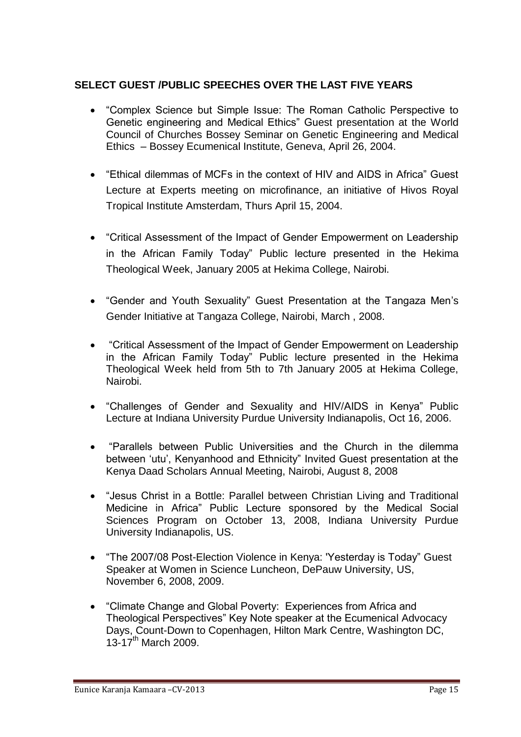# **SELECT GUEST /PUBLIC SPEECHES OVER THE LAST FIVE YEARS**

- "Complex Science but Simple Issue: The Roman Catholic Perspective to Genetic engineering and Medical Ethics" Guest presentation at the World Council of Churches Bossey Seminar on Genetic Engineering and Medical Ethics – Bossey Ecumenical Institute, Geneva, April 26, 2004.
- "Ethical dilemmas of MCFs in the context of HIV and AIDS in Africa" Guest Lecture at Experts meeting on microfinance, an initiative of Hivos Royal Tropical Institute Amsterdam, Thurs April 15, 2004.
- "Critical Assessment of the Impact of Gender Empowerment on Leadership in the African Family Today" Public lecture presented in the Hekima Theological Week, January 2005 at Hekima College, Nairobi.
- "Gender and Youth Sexuality" Guest Presentation at the Tangaza Men"s Gender Initiative at Tangaza College, Nairobi, March , 2008.
- "Critical Assessment of the Impact of Gender Empowerment on Leadership in the African Family Today" Public lecture presented in the Hekima Theological Week held from 5th to 7th January 2005 at Hekima College, Nairobi.
- "Challenges of Gender and Sexuality and HIV/AIDS in Kenya" Public Lecture at Indiana University Purdue University Indianapolis, Oct 16, 2006.
- "Parallels between Public Universities and the Church in the dilemma between "utu", Kenyanhood and Ethnicity" Invited Guest presentation at the Kenya Daad Scholars Annual Meeting, Nairobi, August 8, 2008
- "Jesus Christ in a Bottle: Parallel between Christian Living and Traditional Medicine in Africa" Public Lecture sponsored by the Medical Social Sciences Program on October 13, 2008, Indiana University Purdue University Indianapolis, US.
- "The 2007/08 Post-Election Violence in Kenya: 'Yesterday is Today" Guest Speaker at Women in Science Luncheon, DePauw University, US, November 6, 2008, 2009.
- "Climate Change and Global Poverty: Experiences from Africa and Theological Perspectives" Key Note speaker at the Ecumenical Advocacy Days, Count-Down to Copenhagen, Hilton Mark Centre, Washington DC,  $13-17^{th}$  March 2009.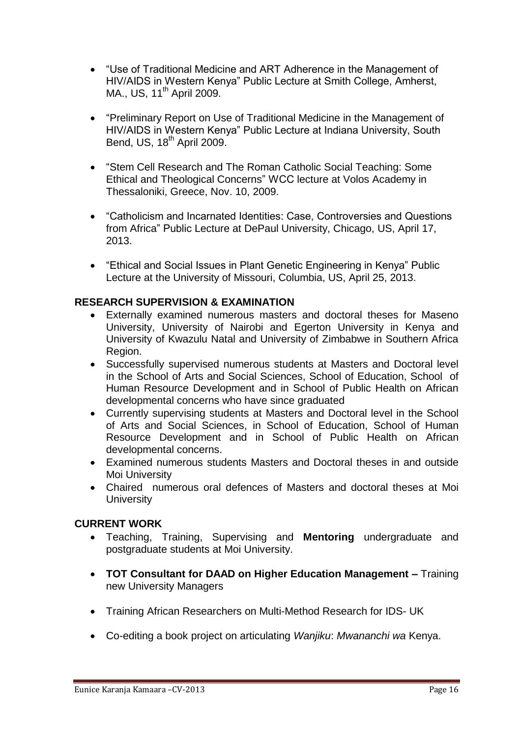- "Use of Traditional Medicine and ART Adherence in the Management of HIV/AIDS in Western Kenya" Public Lecture at Smith College, Amherst, MA., US, 11<sup>th</sup> April 2009.
- "Preliminary Report on Use of Traditional Medicine in the Management of HIV/AIDS in Western Kenya" Public Lecture at Indiana University, South Bend, US,  $18<sup>th</sup>$  April 2009.
- "Stem Cell Research and The Roman Catholic Social Teaching: Some Ethical and Theological Concerns" WCC lecture at Volos Academy in Thessaloniki, Greece, Nov. 10, 2009.
- "Catholicism and Incarnated Identities: Case, Controversies and Questions from Africa" Public Lecture at DePaul University, Chicago, US, April 17, 2013.
- "Ethical and Social Issues in Plant Genetic Engineering in Kenya" Public Lecture at the University of Missouri, Columbia, US, April 25, 2013.

# **RESEARCH SUPERVISION & EXAMINATION**

- Externally examined numerous masters and doctoral theses for Maseno University, University of Nairobi and Egerton University in Kenya and University of Kwazulu Natal and University of Zimbabwe in Southern Africa Region.
- Successfully supervised numerous students at Masters and Doctoral level in the School of Arts and Social Sciences, School of Education, School of Human Resource Development and in School of Public Health on African developmental concerns who have since graduated
- Currently supervising students at Masters and Doctoral level in the School of Arts and Social Sciences, in School of Education, School of Human Resource Development and in School of Public Health on African developmental concerns.
- Examined numerous students Masters and Doctoral theses in and outside Moi University
- Chaired numerous oral defences of Masters and doctoral theses at Moi **University**

#### **CURRENT WORK**

- Teaching, Training, Supervising and **Mentoring** undergraduate and postgraduate students at Moi University.
- **TOT Consultant for DAAD on Higher Education Management –** Training new University Managers
- Training African Researchers on Multi-Method Research for IDS- UK
- Co-editing a book project on articulating *Wanjiku*: *Mwananchi wa* Kenya.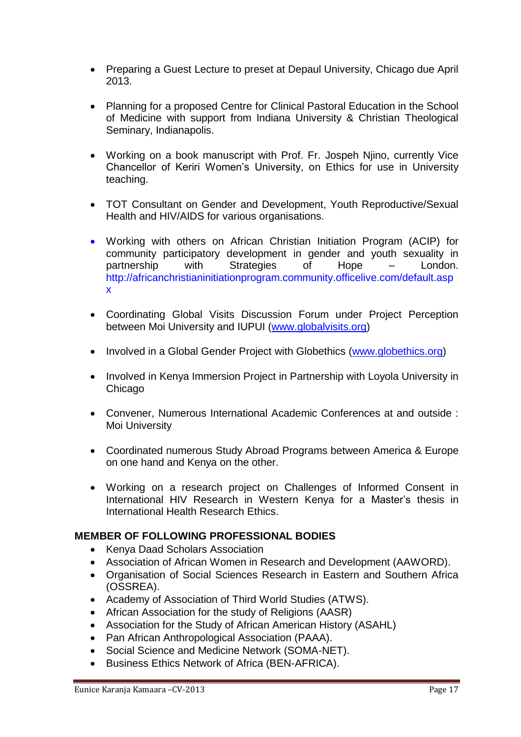- Preparing a Guest Lecture to preset at Depaul University, Chicago due April 2013.
- Planning for a proposed Centre for Clinical Pastoral Education in the School of Medicine with support from Indiana University & Christian Theological Seminary, Indianapolis.
- Working on a book manuscript with Prof. Fr. Jospeh Njino, currently Vice Chancellor of Keriri Women"s University, on Ethics for use in University teaching.
- TOT Consultant on Gender and Development, Youth Reproductive/Sexual Health and HIV/AIDS for various organisations.
- Working with others on African Christian Initiation Program (ACIP) for community participatory development in gender and youth sexuality in partnership with Strategies of Hope – London. http://africanchristianinitiationprogram.community.officelive.com/default.asp x
- Coordinating Global Visits Discussion Forum under Project Perception between Moi University and IUPUI [\(www.globalvisits.org\)](http://www.globalvisits.org/)
- Involved in a Global Gender Project with Globethics [\(www.globethics.org\)](http://www.globethics.org/)
- Involved in Kenya Immersion Project in Partnership with Loyola University in **Chicago**
- Convener, Numerous International Academic Conferences at and outside : Moi University
- Coordinated numerous Study Abroad Programs between America & Europe on one hand and Kenya on the other.
- Working on a research project on Challenges of Informed Consent in International HIV Research in Western Kenya for a Master"s thesis in International Health Research Ethics.

#### **MEMBER OF FOLLOWING PROFESSIONAL BODIES**

- Kenya Daad Scholars Association
- Association of African Women in Research and Development (AAWORD).
- Organisation of Social Sciences Research in Eastern and Southern Africa (OSSREA).
- Academy of Association of Third World Studies (ATWS).
- African Association for the study of Religions (AASR)
- Association for the Study of African American History (ASAHL)
- Pan African Anthropological Association (PAAA).
- Social Science and Medicine Network (SOMA-NET).
- Business Ethics Network of Africa (BEN-AFRICA).